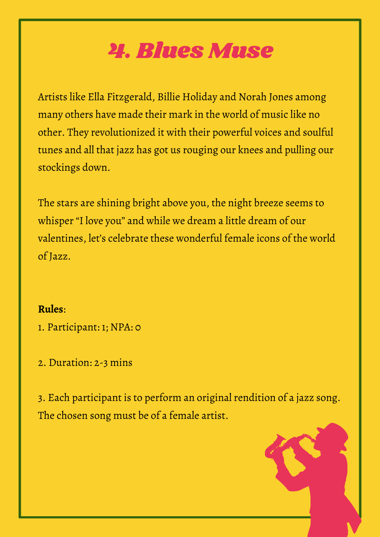## 4. Blues Muse

Artists like Ella Fitzgerald, Billie Holiday and Norah Jones among many others have made their mark in the world of music like no other. They revolutionized it with their powerful voices and soulful tunes and all that jazz has got us rouging our knees and pulling our stockings down.

The stars are shining bright above you, the night breeze seems to whisper "I love you" and while we dream a little dream of our valentines, let's celebrate these wonderful female icons of the world of Jazz.

## **Rules**:

- 1. Participant: 1; NPA: 0
- 2. Duration: 2-3 mins

3. Each participant is to perform an original rendition of a jazz song. The chosen song must be of a female artist.